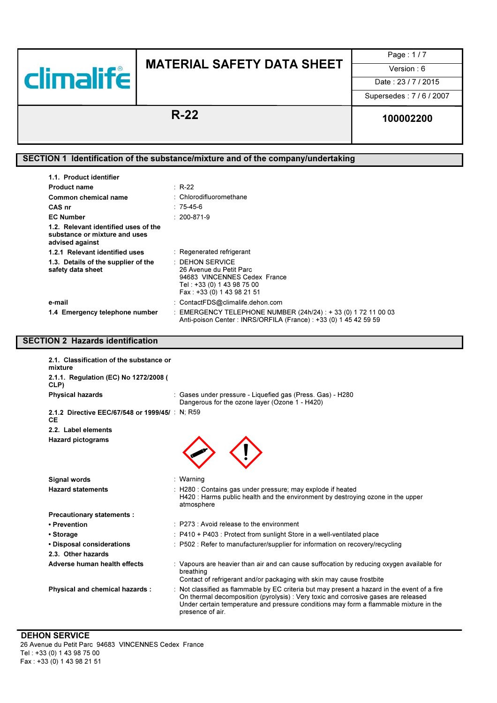

Page : 1 / 7

Date: 23/7/2015

Supersedes : 7 / 6 / 2007

# R-22 100002200

### SECTION 1 Identification of the substance/mixture and of the company/undertaking

| 1.1. Product identifier                                                                  |                                                                                                                                                    |
|------------------------------------------------------------------------------------------|----------------------------------------------------------------------------------------------------------------------------------------------------|
| <b>Product name</b>                                                                      | $\therefore$ R-22                                                                                                                                  |
| Common chemical name                                                                     | : Chlorodifluoromethane                                                                                                                            |
| CAS nr                                                                                   | : 75-45-6                                                                                                                                          |
| <b>EC Number</b>                                                                         | $: 200 - 871 - 9$                                                                                                                                  |
| 1.2. Relevant identified uses of the<br>substance or mixture and uses<br>advised against |                                                                                                                                                    |
| 1.2.1 Relevant identified uses                                                           | : Regenerated refrigerant                                                                                                                          |
| 1.3. Details of the supplier of the<br>safety data sheet                                 | $\therefore$ DEHON SERVICE<br>26 Avenue du Petit Parc<br>94683 VINCENNES Cedex France<br>Tel : +33 (0) 1 43 98 75 00<br>Fax: +33 (0) 1 43 98 21 51 |
| e-mail                                                                                   | : ContactFDS@climalife.dehon.com                                                                                                                   |
| 1.4 Emergency telephone number                                                           | : EMERGENCY TELEPHONE NUMBER (24h/24) : + 33 (0) 1 72 11 00 03<br>Anti-poison Center : INRS/ORFILA (France) : +33 (0) 1 45 42 59 59                |

### SECTION 2 Hazards identification

| 2.1. Classification of the substance or<br>mixture<br>2.1.1. Regulation (EC) No 1272/2008 ( |                                                                                                                                                                                                                                                                                                 |
|---------------------------------------------------------------------------------------------|-------------------------------------------------------------------------------------------------------------------------------------------------------------------------------------------------------------------------------------------------------------------------------------------------|
| CLP)<br><b>Physical hazards</b>                                                             | : Gases under pressure - Liquefied gas (Press. Gas) - H280<br>Dangerous for the ozone layer (Ozone 1 - H420)                                                                                                                                                                                    |
| 2.1.2 Directive EEC/67/548 or 1999/45/ : N; R59<br>СE                                       |                                                                                                                                                                                                                                                                                                 |
| 2.2. Label elements                                                                         |                                                                                                                                                                                                                                                                                                 |
| <b>Hazard pictograms</b>                                                                    |                                                                                                                                                                                                                                                                                                 |
| Signal words                                                                                | : Warning                                                                                                                                                                                                                                                                                       |
| <b>Hazard statements</b>                                                                    | : H280 : Contains gas under pressure; may explode if heated<br>H420 : Harms public health and the environment by destroying ozone in the upper<br>atmosphere                                                                                                                                    |
| <b>Precautionary statements:</b>                                                            |                                                                                                                                                                                                                                                                                                 |
| • Prevention                                                                                | $\cdot$ P273 $\cdot$ Avoid release to the environment                                                                                                                                                                                                                                           |
| • Storage                                                                                   | : P410 + P403 : Protect from sunlight Store in a well-ventilated place                                                                                                                                                                                                                          |
| • Disposal considerations                                                                   | : P502 : Refer to manufacturer/supplier for information on recovery/recycling                                                                                                                                                                                                                   |
| 2.3. Other hazards                                                                          |                                                                                                                                                                                                                                                                                                 |
| Adverse human health effects                                                                | : Vapours are heavier than air and can cause suffocation by reducing oxygen available for<br>breathing<br>Contact of refrigerant and/or packaging with skin may cause frostbite                                                                                                                 |
| Physical and chemical hazards :                                                             | : Not classified as flammable by EC criteria but may present a hazard in the event of a fire<br>On thermal decomposition (pyrolysis) : Very toxic and corrosive gases are released<br>Under certain temperature and pressure conditions may form a flammable mixture in the<br>presence of air. |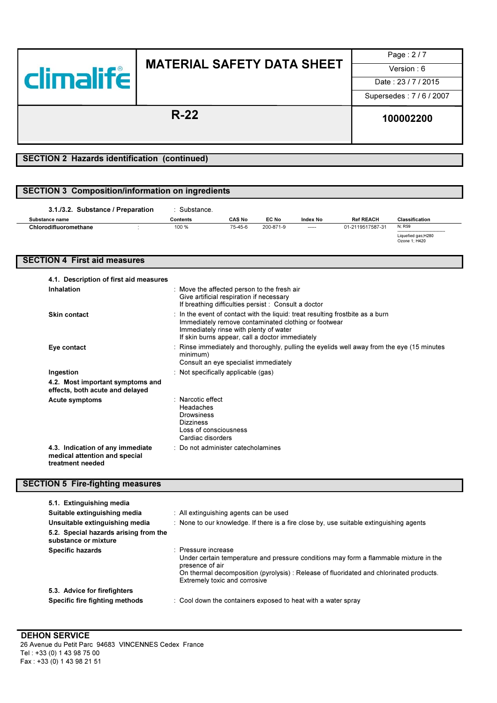

Page : 2 / 7

Date: 23/7/2015

Supersedes : 7 / 6 / 2007

R-22 100002200

### SECTION 2 Hazards identification (continued)

### SECTION 3 Composition/information on ingredients

| 3.1./3.2. Substance / Preparation | Substance. |               |           |          |                  |                                             |
|-----------------------------------|------------|---------------|-----------|----------|------------------|---------------------------------------------|
| Substance name                    | Contents   | <b>CAS No</b> | EC No     | Index No | <b>Ref REACH</b> | Classification                              |
| Chlorodifluoromethane             | 100 %      | 75-45-6       | 200-871-9 | -----    | 01-2119517587-31 | N; R59<br>--------------------------------- |
|                                   |            |               |           |          |                  | Liquefied gas;H280<br>Ozone 1: H420         |

### SECTION 4 First aid measures

| 4.1. Description of first aid measures                                                |                                                                                                                                                                                                                                                |
|---------------------------------------------------------------------------------------|------------------------------------------------------------------------------------------------------------------------------------------------------------------------------------------------------------------------------------------------|
| Inhalation                                                                            | : Move the affected person to the fresh air<br>Give artificial respiration if necessary<br>If breathing difficulties persist : Consult a doctor                                                                                                |
| Skin contact                                                                          | $\therefore$ In the event of contact with the liquid: treat resulting frostbite as a burn<br>Immediately remove contaminated clothing or footwear<br>Immediately rinse with plenty of water<br>If skin burns appear, call a doctor immediately |
| Eye contact                                                                           | : Rinse immediately and thoroughly, pulling the eyelids well away from the eye (15 minutes<br>minimum)<br>Consult an eye specialist immediately                                                                                                |
| Ingestion                                                                             | : Not specifically applicable (gas)                                                                                                                                                                                                            |
| 4.2. Most important symptoms and<br>effects, both acute and delayed                   |                                                                                                                                                                                                                                                |
| Acute symptoms                                                                        | : Narcotic effect<br>Headaches<br>Drowsiness<br><b>Dizziness</b><br>Loss of consciousness<br>Cardiac disorders                                                                                                                                 |
| 4.3. Indication of any immediate<br>medical attention and special<br>treatment needed | : Do not administer catecholamines                                                                                                                                                                                                             |

### SECTION 5 Fire-fighting measures

| 5.1. Extinguishing media                                       |                                                                                                                                                                                                                                                            |
|----------------------------------------------------------------|------------------------------------------------------------------------------------------------------------------------------------------------------------------------------------------------------------------------------------------------------------|
| Suitable extinguishing media                                   | : All extinguishing agents can be used                                                                                                                                                                                                                     |
| Unsuitable extinguishing media                                 | : None to our knowledge. If there is a fire close by, use suitable extinguishing agents                                                                                                                                                                    |
| 5.2. Special hazards arising from the<br>substance or mixture  |                                                                                                                                                                                                                                                            |
| <b>Specific hazards</b>                                        | : Pressure increase<br>Under certain temperature and pressure conditions may form a flammable mixture in the<br>presence of air<br>On thermal decomposition (pyrolysis): Release of fluoridated and chlorinated products.<br>Extremely toxic and corrosive |
| 5.3. Advice for firefighters<br>Specific fire fighting methods | : Cool down the containers exposed to heat with a water spray                                                                                                                                                                                              |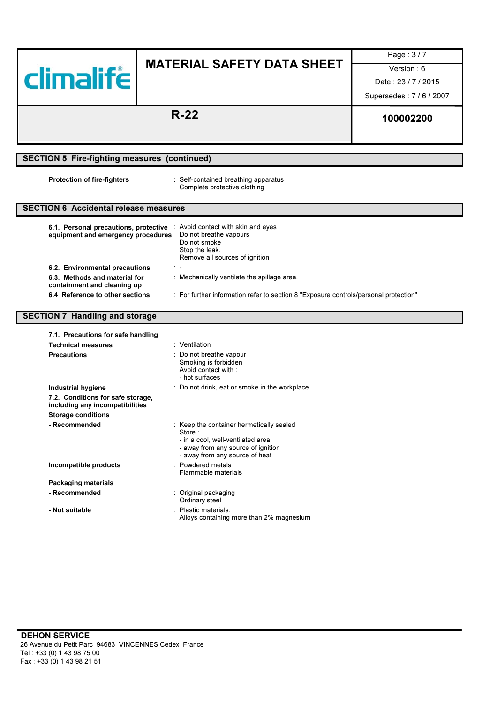|                                                                              |                                                                                                                                                                        | Page: 3/7            |
|------------------------------------------------------------------------------|------------------------------------------------------------------------------------------------------------------------------------------------------------------------|----------------------|
|                                                                              | <b>MATERIAL SAFETY DATA SHEET</b>                                                                                                                                      | Version: 6           |
| <b>climalife</b>                                                             |                                                                                                                                                                        | Date: 23/7/2015      |
|                                                                              |                                                                                                                                                                        | Supersedes: 7/6/2007 |
|                                                                              | $R-22$                                                                                                                                                                 | 100002200            |
|                                                                              |                                                                                                                                                                        |                      |
| <b>SECTION 5 Fire-fighting measures (continued)</b>                          |                                                                                                                                                                        |                      |
| <b>Protection of fire-fighters</b>                                           | : Self-contained breathing apparatus<br>Complete protective clothing                                                                                                   |                      |
| <b>SECTION 6 Accidental release measures</b>                                 |                                                                                                                                                                        |                      |
| equipment and emergency procedures                                           | 6.1. Personal precautions, protective : Avoid contact with skin and eyes<br>Do not breathe vapours<br>Do not smoke<br>Stop the leak.<br>Remove all sources of ignition |                      |
| 6.2. Environmental precautions                                               |                                                                                                                                                                        |                      |
| 6.3. Methods and material for<br>: Mechanically ventilate the spillage area. |                                                                                                                                                                        |                      |
|                                                                              |                                                                                                                                                                        |                      |
| containment and cleaning up<br>6.4 Reference to other sections               | : For further information refer to section 8 "Exposure controls/personal protection"                                                                                   |                      |
| <b>SECTION 7 Handling and storage</b>                                        |                                                                                                                                                                        |                      |
| 7.1. Precautions for safe handling                                           |                                                                                                                                                                        |                      |
| <b>Technical measures</b>                                                    | : Ventilation                                                                                                                                                          |                      |
| <b>Precautions</b>                                                           | : Do not breathe vapour<br>Smoking is forbidden<br>Avoid contact with:<br>- hot surfaces                                                                               |                      |
| <b>Industrial hygiene</b>                                                    | : Do not drink, eat or smoke in the workplace                                                                                                                          |                      |
| 7.2. Conditions for safe storage,<br>including any incompatibilities         |                                                                                                                                                                        |                      |
| <b>Storage conditions</b>                                                    |                                                                                                                                                                        |                      |
| - Recommended                                                                | : Keep the container hermetically sealed<br>Store:<br>- in a cool, well-ventilated area<br>- away from any source of ignition<br>- away from any source of heat        |                      |
| Incompatible products                                                        | : Powdered metals<br>Flammable materials                                                                                                                               |                      |
| <b>Packaging materials</b>                                                   |                                                                                                                                                                        |                      |
| - Recommended                                                                | : Original packaging<br>Ordinary steel                                                                                                                                 |                      |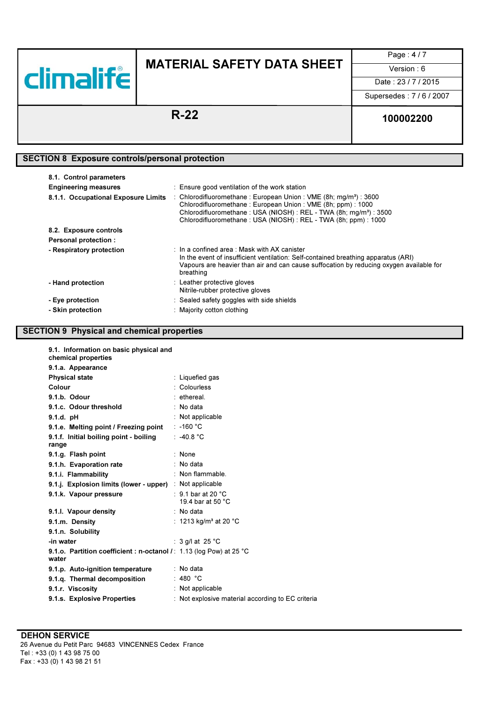

Page : 4 / 7

Date: 23 / 7 / 2015

Supersedes : 7 / 6 / 2007

# R-22 100002200

### SECTION 8 Exposure controls/personal protection

| 8.1. Control parameters<br><b>Engineering measures</b><br>8.1.1. Occupational Exposure Limits | : Ensure good ventilation of the work station<br>: Chlorodifluoromethane: European Union: VME $(8h; mg/m^3)$ : 3600<br>Chlorodifluoromethane: European Union: VME (8h; ppm): 1000<br>Chlorodifluoromethane: USA (NIOSH): REL - TWA (8h; mg/m <sup>3</sup> ): 3500<br>Chlorodifluoromethane: USA (NIOSH): REL - TWA (8h; ppm): 1000 |
|-----------------------------------------------------------------------------------------------|------------------------------------------------------------------------------------------------------------------------------------------------------------------------------------------------------------------------------------------------------------------------------------------------------------------------------------|
| 8.2. Exposure controls                                                                        |                                                                                                                                                                                                                                                                                                                                    |
| <b>Personal protection:</b>                                                                   |                                                                                                                                                                                                                                                                                                                                    |
| - Respiratory protection                                                                      | : In a confined area : Mask with AX canister<br>In the event of insufficient ventilation: Self-contained breathing apparatus (ARI)<br>Vapours are heavier than air and can cause suffocation by reducing oxygen available for<br>breathing                                                                                         |
| - Hand protection                                                                             | : Leather protective gloves<br>Nitrile-rubber protective gloves                                                                                                                                                                                                                                                                    |
| - Eye protection                                                                              | : Sealed safety goggles with side shields                                                                                                                                                                                                                                                                                          |
| - Skin protection                                                                             | : Majority cotton clothing                                                                                                                                                                                                                                                                                                         |

### SECTION 9 Physical and chemical properties

| 9.1. Information on basic physical and<br>chemical properties               |                                                   |
|-----------------------------------------------------------------------------|---------------------------------------------------|
| 9.1.a. Appearance                                                           |                                                   |
| <b>Physical state</b>                                                       | : Liquefied gas                                   |
| Colour                                                                      | : Colourless                                      |
| 9.1.b. Odour                                                                | : ethereal.                                       |
| 9.1.c. Odour threshold                                                      | $:$ No data                                       |
| $9.1.d.$ pH                                                                 | : Not applicable                                  |
| 9.1.e. Melting point / Freezing point                                       | $: -160 °C$                                       |
| 9.1.f. Initial boiling point - boiling                                      | : $-40.8 °C$                                      |
| range                                                                       |                                                   |
| 9.1.g. Flash point                                                          | : None                                            |
| 9.1.h. Evaporation rate                                                     | $:$ No data                                       |
| 9.1.i. Flammability                                                         | $:$ Non flammable.                                |
| 9.1.j. Explosion limits (lower - upper) : Not applicable                    |                                                   |
| 9.1.k. Vapour pressure                                                      | $\cdot$ 9.1 bar at 20 °C.                         |
|                                                                             | 19.4 bar at 50 °C                                 |
| 9.1.I. Vapour density                                                       | : No data                                         |
| 9.1.m. Density                                                              | : 1213 kg/m <sup>3</sup> at 20 °C                 |
| 9.1.n. Solubility                                                           |                                                   |
| -in water                                                                   | : 3 g/l at 25 $^{\circ}$ C                        |
| 9.1.o. Partition coefficient: n-octanol /: 1.13 (log Pow) at 25 °C<br>water |                                                   |
| 9.1.p. Auto-ignition temperature                                            | $:$ No data                                       |
| 9.1.q. Thermal decomposition                                                | : 480 °C                                          |
| 9.1.r. Viscosity                                                            | : Not applicable                                  |
| 9.1.s. Explosive Properties                                                 | : Not explosive material according to EC criteria |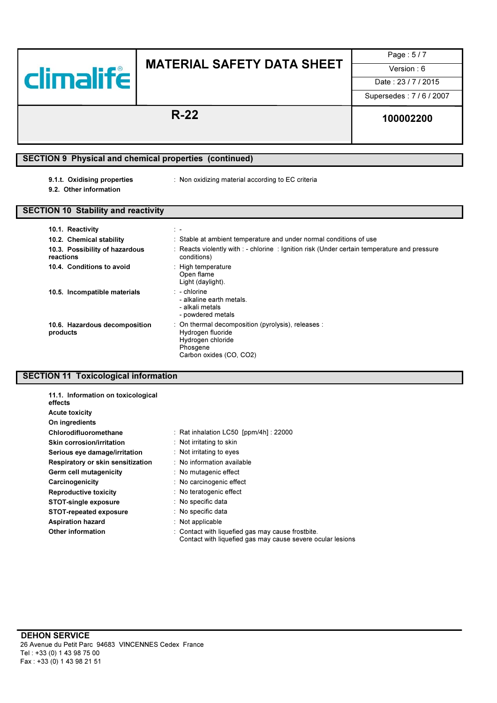

Page : 5 / 7

Date: 23/7/2015

Supersedes : 7 / 6 / 2007

# R-22 100002200

## SECTION 9 Physical and chemical properties (continued)

- 
- 9.1.t. Oxidising properties : Non oxidizing material according to EC criteria
- 9.2. Other information

### SECTION 10 Stability and reactivity

| 10.1. Reactivity                            | $\mathbb{R}$                                                                                                                        |
|---------------------------------------------|-------------------------------------------------------------------------------------------------------------------------------------|
| 10.2. Chemical stability                    | : Stable at ambient temperature and under normal conditions of use                                                                  |
| 10.3. Possibility of hazardous<br>reactions | : Reacts violently with : - chlorine : Ignition risk (Under certain temperature and pressure<br>conditions)                         |
| 10.4. Conditions to avoid                   | : High temperature<br>Open flame<br>Light (daylight).                                                                               |
| 10.5. Incompatible materials                | $\therefore$ - chlorine<br>- alkaline earth metals.<br>- alkali metals<br>- powdered metals                                         |
| 10.6. Hazardous decomposition<br>products   | : On thermal decomposition (pyrolysis), releases :<br>Hydrogen fluoride<br>Hydrogen chloride<br>Phosgene<br>Carbon oxides (CO, CO2) |

### SECTION 11 Toxicological information

| 11.1. Information on toxicological<br>effects |                                                                                                                 |
|-----------------------------------------------|-----------------------------------------------------------------------------------------------------------------|
| <b>Acute toxicity</b>                         |                                                                                                                 |
| On ingredients                                |                                                                                                                 |
| Chlorodifluoromethane                         | : Rat inhalation $LCS0$ [ppm/4h] : 22000                                                                        |
| <b>Skin corrosion/irritation</b>              | : Not irritating to skin                                                                                        |
| Serious eye damage/irritation                 | : Not irritating to eyes                                                                                        |
| Respiratory or skin sensitization             | : No information available                                                                                      |
| Germ cell mutagenicity                        | : No mutagenic effect                                                                                           |
| Carcinogenicity                               | : No carcinogenic effect                                                                                        |
| <b>Reproductive toxicity</b>                  | : No teratogenic effect                                                                                         |
| <b>STOT-single exposure</b>                   | : No specific data                                                                                              |
| STOT-repeated exposure                        | : No specific data                                                                                              |
| <b>Aspiration hazard</b>                      | $:$ Not applicable                                                                                              |
| Other information                             | : Contact with liquefied gas may cause frostbite.<br>Contact with liquefied gas may cause severe ocular lesions |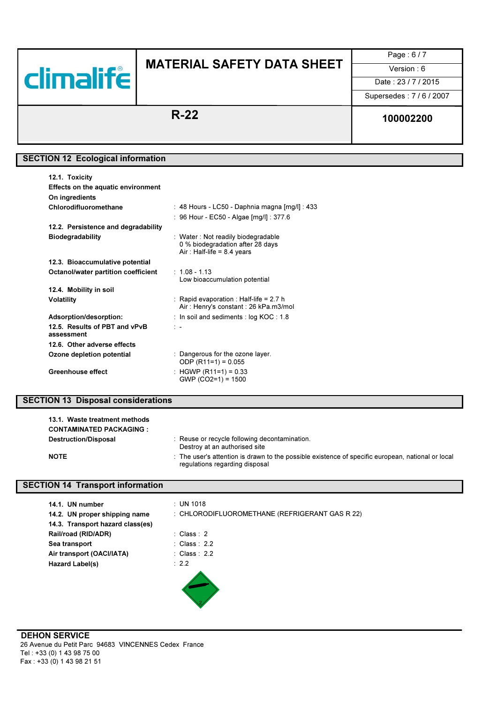

# MATERIAL SAFETY DATA SHEET  $\overline{\qquad \qquad \quad \text{Version: 6}}$

Page : 6 / 7

Date: 23/7/2015

Supersedes : 7 / 6 / 2007

# R-22 100002200

### SECTION 12 Ecological information

| 12.1. Toxicity                              |                                                                                                        |
|---------------------------------------------|--------------------------------------------------------------------------------------------------------|
| Effects on the aquatic environment          |                                                                                                        |
| On ingredients                              |                                                                                                        |
| Chlorodifluoromethane                       | : 48 Hours - LC50 - Daphnia magna [mg/l] : 433                                                         |
|                                             | : 96 Hour - EC50 - Algae [mg/l] : 377.6                                                                |
| 12.2. Persistence and degradability         |                                                                                                        |
| <b>Biodegradability</b>                     | : Water: Not readily biodegradable<br>0 % biodegradation after 28 days<br>Air: Half-life = $8.4$ years |
| 12.3. Bioaccumulative potential             |                                                                                                        |
| Octanol/water partition coefficient         | $:~1.08$ - 1.13<br>Low bioaccumulation potential                                                       |
| 12.4. Mobility in soil                      |                                                                                                        |
| <b>Volatility</b>                           | : Rapid evaporation : Half-life = 2.7 h<br>Air: Henry's constant: 26 kPa.m3/mol                        |
| Adsorption/desorption:                      | : In soil and sediments : $log KOC : 1.8$                                                              |
| 12.5. Results of PBT and vPvB<br>assessment | $\mathbb{R}$                                                                                           |
| 12.6. Other adverse effects                 |                                                                                                        |
| Ozone depletion potential                   | : Dangerous for the ozone layer.<br>ODP $(R11=1) = 0.055$                                              |
| <b>Greenhouse effect</b>                    | : HGWP (R11=1) = 0.33<br>$GWP (CO2=1) = 1500$                                                          |

### SECTION 13 Disposal considerations

| 13.1. Waste treatment methods<br><b>CONTAMINATED PACKAGING:</b> |                                                                                                                                     |
|-----------------------------------------------------------------|-------------------------------------------------------------------------------------------------------------------------------------|
| <b>Destruction/Disposal</b>                                     | : Reuse or recycle following decontamination.<br>Destroy at an authorised site                                                      |
| <b>NOTE</b>                                                     | : The user's attention is drawn to the possible existence of specific european, national or local<br>regulations regarding disposal |

### SECTION 14 Transport information

| 14.1. UN number                  | $\therefore$ UN 1018                           |
|----------------------------------|------------------------------------------------|
| 14.2. UN proper shipping name    | : CHLORODIFLUOROMETHANE (REFRIGERANT GAS R 22) |
| 14.3. Transport hazard class(es) |                                                |
| Rail/road (RID/ADR)              | : Class : $2$                                  |
| Sea transport                    | : Class: $2.2$                                 |
| Air transport (OACI/IATA)        | : Class: $2.2$                                 |
| Hazard Label(s)                  | : 2.2                                          |
|                                  |                                                |